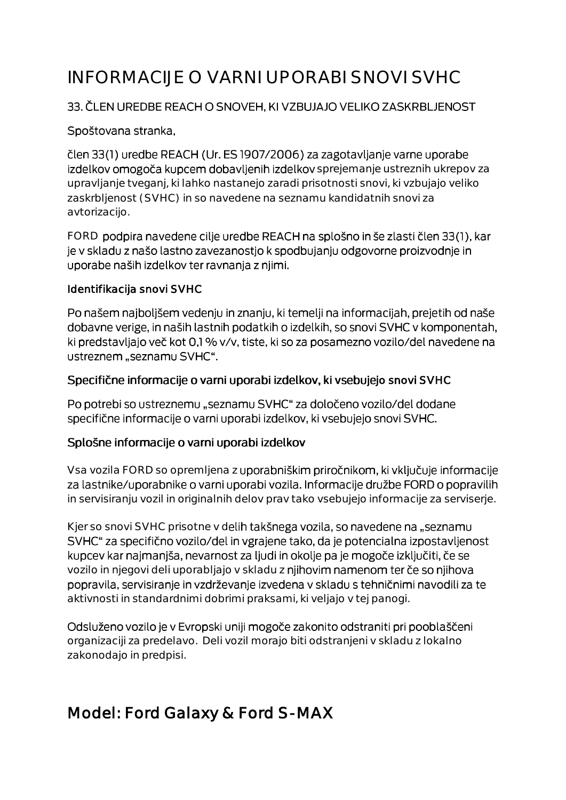# INFORMACIJE O VARNI UPORABI SNOVI SVHC

#### 33. ČLEN UREDBE REACH O SNOVEH, KI VZBUJAJO VELIKO ZASKRBLJENOST

#### Spoštovana stranka,

člen 33(1) uredbe REACH (Ur. ES 1907/2006) za zagotavljanje varne uporabe izdelkov omogoča kupcem dobavljenih izdelkov sprejemanje ustreznih ukrepov za upravljanje tveganj, ki lahko nastanejo zaradi prisotnosti snovi, ki vzbujajo veliko zaskrbljenost (SVHC) in so navedene na seznamu kandidatnih snovi za avtorizacijo.

FORD podpira navedene cilje uredbe REACH na splošno in še zlasti člen 33(1), kar je v skladu z našo lastno zavezanostjo k spodbujanju odgovorne proizvodnje in uporabe naših izdelkov ter ravnanja z njimi.

#### Identifikacija snovi SVHC

Po našem najboljšem vedenju in znanju, ki temelji na informacijah, prejetih od naše dobavne verige, in naših lastnih podatkih o izdelkih, so snovi SVHC v komponentah, ki predstavljajo več kot 0,1 % v/v, tiste, ki so za posamezno vozilo/del navedene na ustreznem "seznamu SVHC".

#### Specifične informacije o varni uporabi izdelkov, ki vsebujejo snovi SVHC

Po potrebi so ustreznemu "seznamu SVHC" za določeno vozilo/del dodane specifične informacije o varni uporabi izdelkov, ki vsebujejo snovi SVHC.

#### Splošne informacije o varni uporabi izdelkov

Vsa vozila FORD so opremljena z uporabniškim priročnikom, ki vključuje informacije za lastnike/uporabnike o varni uporabi vozila. Informacije družbe FORD o popravilih in servisiranju vozil in originalnih delov prav tako vsebujejo informacije za serviserje.

Kjer so snovi SVHC prisotne v delih takšnega vozila, so navedene na "seznamu SVHC" za specifično vozilo/del in vgrajene tako, da je potencialna izpostavljenost kupcev kar najmanjša, nevarnost za ljudi in okolje pa je mogoče izključiti, če se vozilo in njegovi deli uporabljajo v skladu z njihovim namenom ter če so njihova popravila, servisiranje in vzdrževanje izvedena v skladu s tehničnimi navodili za te aktivnosti in standardnimi dobrimi praksami, ki veljajo v tej panogi.

Odsluženo vozilo je v Evropski uniji mogoče zakonito odstraniti pri pooblaščeni organizaciji za predelavo. Deli vozil morajo biti odstranjeni v skladu z lokalno zakonodajo in predpisi.

## Model: Ford Galaxy & Ford S-MAX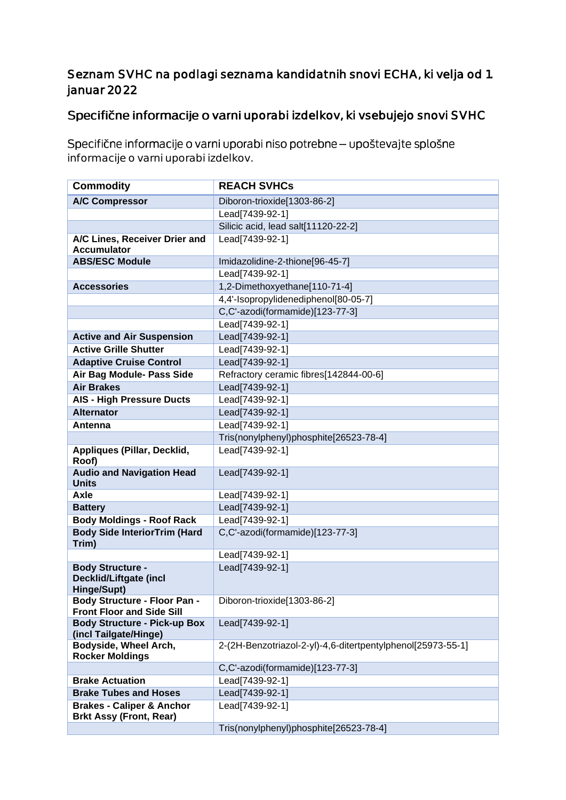#### Seznam SVHC na podlagi seznama kandidatnih snovi ECHA, ki velja od 1. januar 2022

### Specifične informacije o varni uporabi izdelkov, ki vsebujejo snovi SVHC

Specifične informacije o varni uporabi niso potrebne - upoštevajte splošne informacije o varni uporabi izdelkov.

| <b>Commodity</b>                                                        | <b>REACH SVHCs</b>                                          |
|-------------------------------------------------------------------------|-------------------------------------------------------------|
| <b>A/C Compressor</b>                                                   | Diboron-trioxide[1303-86-2]                                 |
|                                                                         | Lead[7439-92-1]                                             |
|                                                                         | Silicic acid, lead salt[11120-22-2]                         |
| A/C Lines, Receiver Drier and                                           | Lead[7439-92-1]                                             |
| <b>Accumulator</b>                                                      |                                                             |
| <b>ABS/ESC Module</b>                                                   | Imidazolidine-2-thione[96-45-7]                             |
|                                                                         | Lead[7439-92-1]                                             |
| <b>Accessories</b>                                                      | 1,2-Dimethoxyethane[110-71-4]                               |
|                                                                         | 4,4'-Isopropylidenediphenol[80-05-7]                        |
|                                                                         | C,C'-azodi(formamide)[123-77-3]                             |
|                                                                         | Lead[7439-92-1]                                             |
| <b>Active and Air Suspension</b>                                        | Lead[7439-92-1]                                             |
| <b>Active Grille Shutter</b>                                            | Lead[7439-92-1]                                             |
| <b>Adaptive Cruise Control</b>                                          | Lead[7439-92-1]                                             |
| Air Bag Module- Pass Side                                               | Refractory ceramic fibres[142844-00-6]                      |
| <b>Air Brakes</b>                                                       | Lead[7439-92-1]                                             |
| <b>AIS - High Pressure Ducts</b>                                        | Lead[7439-92-1]                                             |
| <b>Alternator</b>                                                       | Lead[7439-92-1]                                             |
| Antenna                                                                 | Lead[7439-92-1]                                             |
|                                                                         | Tris(nonylphenyl)phosphite[26523-78-4]                      |
| Appliques (Pillar, Decklid,<br>Roof)                                    | Lead[7439-92-1]                                             |
| <b>Audio and Navigation Head</b>                                        | Lead[7439-92-1]                                             |
| <b>Units</b>                                                            |                                                             |
| Axle                                                                    | Lead[7439-92-1]                                             |
| <b>Battery</b>                                                          | Lead[7439-92-1]                                             |
| <b>Body Moldings - Roof Rack</b>                                        | Lead[7439-92-1]                                             |
| <b>Body Side InteriorTrim (Hard</b><br>Trim)                            | C,C'-azodi(formamide)[123-77-3]                             |
|                                                                         | Lead[7439-92-1]                                             |
| <b>Body Structure -</b><br><b>Decklid/Liftgate (incl</b><br>Hinge/Supt) | Lead[7439-92-1]                                             |
| <b>Body Structure - Floor Pan -</b><br><b>Front Floor and Side Sill</b> | Diboron-trioxide[1303-86-2]                                 |
| <b>Body Structure - Pick-up Box</b><br>(incl Tailgate/Hinge)            | Lead[7439-92-1]                                             |
| Bodyside, Wheel Arch,<br><b>Rocker Moldings</b>                         | 2-(2H-Benzotriazol-2-yl)-4,6-ditertpentylphenol[25973-55-1] |
|                                                                         | C,C'-azodi(formamide)[123-77-3]                             |
| <b>Brake Actuation</b>                                                  | Lead[7439-92-1]                                             |
| <b>Brake Tubes and Hoses</b>                                            | Lead[7439-92-1]                                             |
| <b>Brakes - Caliper &amp; Anchor</b><br><b>Brkt Assy (Front, Rear)</b>  | Lead[7439-92-1]                                             |
|                                                                         | Tris(nonylphenyl)phosphite[26523-78-4]                      |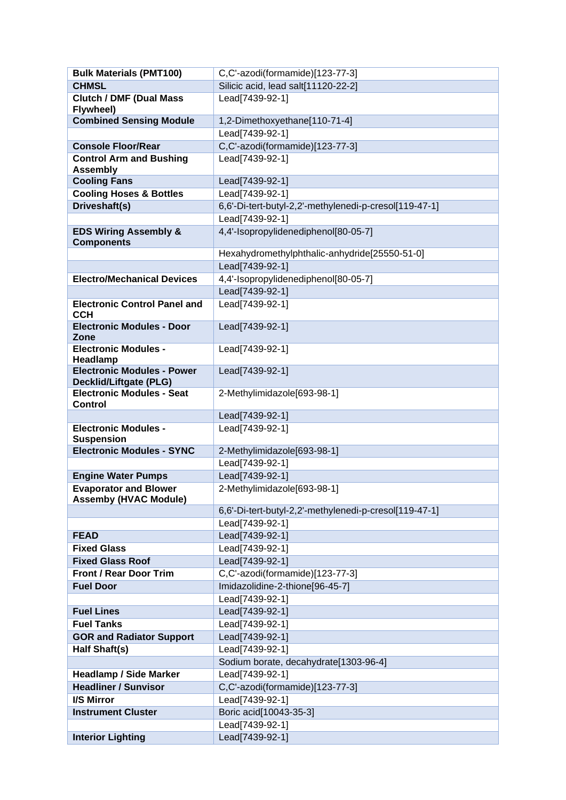| <b>Bulk Materials (PMT100)</b>                                     | C,C'-azodi(formamide)[123-77-3]                        |
|--------------------------------------------------------------------|--------------------------------------------------------|
| <b>CHMSL</b>                                                       | Silicic acid, lead salt[11120-22-2]                    |
| <b>Clutch / DMF (Dual Mass</b><br>Flywheel)                        | Lead[7439-92-1]                                        |
| <b>Combined Sensing Module</b>                                     | 1,2-Dimethoxyethane[110-71-4]                          |
|                                                                    | Lead[7439-92-1]                                        |
| <b>Console Floor/Rear</b>                                          | C,C'-azodi(formamide)[123-77-3]                        |
| <b>Control Arm and Bushing</b>                                     | Lead[7439-92-1]                                        |
| <b>Assembly</b><br><b>Cooling Fans</b>                             | Lead[7439-92-1]                                        |
| <b>Cooling Hoses &amp; Bottles</b>                                 | Lead[7439-92-1]                                        |
| Driveshaft(s)                                                      | 6,6'-Di-tert-butyl-2,2'-methylenedi-p-cresol[119-47-1] |
|                                                                    | Lead[7439-92-1]                                        |
| <b>EDS Wiring Assembly &amp;</b>                                   | 4,4'-Isopropylidenediphenol[80-05-7]                   |
| <b>Components</b>                                                  |                                                        |
|                                                                    | Hexahydromethylphthalic-anhydride[25550-51-0]          |
|                                                                    | Lead[7439-92-1]                                        |
| <b>Electro/Mechanical Devices</b>                                  | 4,4'-Isopropylidenediphenol[80-05-7]                   |
|                                                                    | Lead[7439-92-1]                                        |
| <b>Electronic Control Panel and</b><br><b>CCH</b>                  | Lead[7439-92-1]                                        |
| <b>Electronic Modules - Door</b><br>Zone                           | Lead[7439-92-1]                                        |
| <b>Electronic Modules -</b><br>Headlamp                            | Lead[7439-92-1]                                        |
| <b>Electronic Modules - Power</b><br><b>Decklid/Liftgate (PLG)</b> | Lead[7439-92-1]                                        |
| <b>Electronic Modules - Seat</b><br><b>Control</b>                 | 2-Methylimidazole[693-98-1]                            |
|                                                                    | Lead[7439-92-1]                                        |
| <b>Electronic Modules -</b>                                        | Lead[7439-92-1]                                        |
| <b>Suspension</b>                                                  |                                                        |
| <b>Electronic Modules - SYNC</b>                                   | 2-Methylimidazole[693-98-1]                            |
|                                                                    | Lead[7439-92-1]                                        |
| <b>Engine Water Pumps</b>                                          | Lead[7439-92-1]                                        |
| <b>Evaporator and Blower</b><br><b>Assemby (HVAC Module)</b>       | 2-Methylimidazole[693-98-1]                            |
|                                                                    | 6,6'-Di-tert-butyl-2,2'-methylenedi-p-cresol[119-47-1] |
|                                                                    | Lead[7439-92-1]                                        |
| <b>FEAD</b>                                                        | Lead[7439-92-1]                                        |
| <b>Fixed Glass</b>                                                 | Lead[7439-92-1]                                        |
| <b>Fixed Glass Roof</b>                                            | Lead[7439-92-1]                                        |
| <b>Front / Rear Door Trim</b>                                      | C,C'-azodi(formamide)[123-77-3]                        |
| <b>Fuel Door</b>                                                   | Imidazolidine-2-thione[96-45-7]                        |
|                                                                    | Lead[7439-92-1]                                        |
| <b>Fuel Lines</b>                                                  | Lead[7439-92-1]                                        |
| <b>Fuel Tanks</b>                                                  | Lead[7439-92-1]                                        |
| <b>GOR and Radiator Support</b>                                    | Lead[7439-92-1]                                        |
| Half Shaft(s)                                                      | Lead[7439-92-1]                                        |
|                                                                    | Sodium borate, decahydrate[1303-96-4]                  |
| <b>Headlamp / Side Marker</b>                                      | Lead[7439-92-1]                                        |
| <b>Headliner / Sunvisor</b>                                        | C,C'-azodi(formamide)[123-77-3]                        |
| I/S Mirror                                                         | Lead[7439-92-1]                                        |
| <b>Instrument Cluster</b>                                          | Boric acid[10043-35-3]                                 |
|                                                                    | Lead[7439-92-1]                                        |
| <b>Interior Lighting</b>                                           | Lead[7439-92-1]                                        |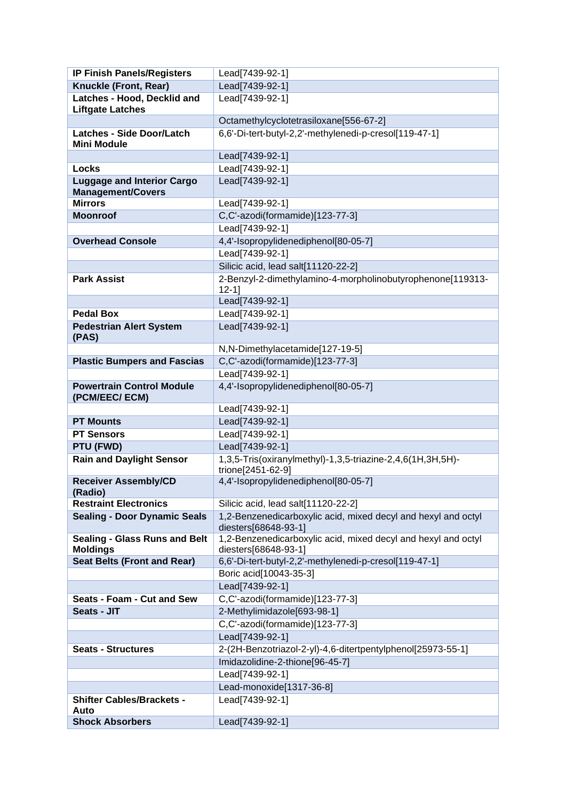| <b>IP Finish Panels/Registers</b>                             | Lead[7439-92-1]                                                                       |
|---------------------------------------------------------------|---------------------------------------------------------------------------------------|
| Knuckle (Front, Rear)                                         | Lead[7439-92-1]                                                                       |
| Latches - Hood, Decklid and<br><b>Liftgate Latches</b>        | Lead[7439-92-1]                                                                       |
|                                                               | Octamethylcyclotetrasiloxane[556-67-2]                                                |
| <b>Latches - Side Door/Latch</b><br><b>Mini Module</b>        | 6,6'-Di-tert-butyl-2,2'-methylenedi-p-cresol[119-47-1]                                |
|                                                               | Lead[7439-92-1]                                                                       |
| Locks                                                         | Lead[7439-92-1]                                                                       |
| <b>Luggage and Interior Cargo</b><br><b>Management/Covers</b> | Lead[7439-92-1]                                                                       |
| <b>Mirrors</b>                                                | Lead[7439-92-1]                                                                       |
| <b>Moonroof</b>                                               | C,C'-azodi(formamide)[123-77-3]                                                       |
|                                                               | Lead[7439-92-1]                                                                       |
| <b>Overhead Console</b>                                       | 4,4'-Isopropylidenediphenol[80-05-7]                                                  |
|                                                               | Lead[7439-92-1]                                                                       |
|                                                               | Silicic acid, lead salt[11120-22-2]                                                   |
| <b>Park Assist</b>                                            | 2-Benzyl-2-dimethylamino-4-morpholinobutyrophenone[119313-<br>$12 - 11$               |
|                                                               | Lead[7439-92-1]                                                                       |
| <b>Pedal Box</b>                                              | Lead[7439-92-1]                                                                       |
| <b>Pedestrian Alert System</b><br>(PAS)                       | Lead[7439-92-1]                                                                       |
|                                                               | N,N-Dimethylacetamide[127-19-5]                                                       |
| <b>Plastic Bumpers and Fascias</b>                            | C,C'-azodi(formamide)[123-77-3]                                                       |
|                                                               | Lead[7439-92-1]                                                                       |
| <b>Powertrain Control Module</b><br>(PCM/EEC/ECM)             | 4,4'-Isopropylidenediphenol[80-05-7]                                                  |
|                                                               | Lead[7439-92-1]                                                                       |
| <b>PT Mounts</b>                                              | Lead[7439-92-1]                                                                       |
| <b>PT Sensors</b>                                             | Lead[7439-92-1]                                                                       |
| PTU (FWD)                                                     | Lead[7439-92-1]                                                                       |
| <b>Rain and Daylight Sensor</b>                               | 1,3,5-Tris(oxiranylmethyl)-1,3,5-triazine-2,4,6(1H,3H,5H)-<br>trione[2451-62-9]       |
| <b>Receiver Assembly/CD</b><br>(Radio)                        | 4,4'-Isopropylidenediphenol[80-05-7]                                                  |
| <b>Restraint Electronics</b>                                  | Silicic acid, lead salt[11120-22-2]                                                   |
| <b>Sealing - Door Dynamic Seals</b>                           | 1,2-Benzenedicarboxylic acid, mixed decyl and hexyl and octyl<br>diesters[68648-93-1] |
| <b>Sealing - Glass Runs and Belt</b><br><b>Moldings</b>       | 1,2-Benzenedicarboxylic acid, mixed decyl and hexyl and octyl<br>diesters[68648-93-1] |
| <b>Seat Belts (Front and Rear)</b>                            | 6,6'-Di-tert-butyl-2,2'-methylenedi-p-cresol[119-47-1]                                |
|                                                               | Boric acid[10043-35-3]                                                                |
|                                                               | Lead[7439-92-1]                                                                       |
| Seats - Foam - Cut and Sew                                    | C,C'-azodi(formamide)[123-77-3]                                                       |
| Seats - JIT                                                   | 2-Methylimidazole[693-98-1]                                                           |
|                                                               | C,C'-azodi(formamide)[123-77-3]                                                       |
|                                                               | Lead[7439-92-1]                                                                       |
| <b>Seats - Structures</b>                                     | 2-(2H-Benzotriazol-2-yl)-4,6-ditertpentylphenol[25973-55-1]                           |
|                                                               | Imidazolidine-2-thione[96-45-7]                                                       |
|                                                               | Lead[7439-92-1]                                                                       |
|                                                               | Lead-monoxide[1317-36-8]                                                              |
| <b>Shifter Cables/Brackets -</b><br>Auto                      | Lead[7439-92-1]                                                                       |
| <b>Shock Absorbers</b>                                        | Lead[7439-92-1]                                                                       |